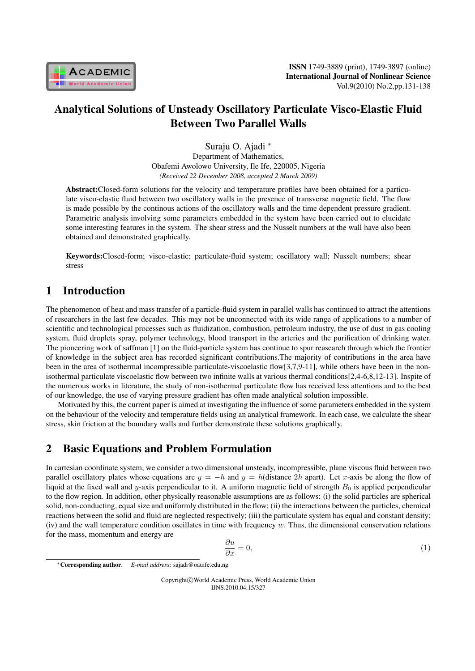

# Analytical Solutions of Unsteady Oscillatory Particulate Visco-Elastic Fluid Between Two Parallel Walls

Suraju O. Ajadi *<sup>∗</sup>* Department of Mathematics, Obafemi Awolowo University, Ile Ife, 220005, Nigeria *(Received 22 December 2008, accepted 2 March 2009)*

Abstract:Closed-form solutions for the velocity and temperature profiles have been obtained for a particulate visco-elastic fluid between two oscillatory walls in the presence of transverse magnetic field. The flow is made possible by the continous actions of the oscillatory walls and the time dependent pressure gradient. Parametric analysis involving some parameters embedded in the system have been carried out to elucidate some interesting features in the system. The shear stress and the Nusselt numbers at the wall have also been obtained and demonstrated graphically.

Keywords:Closed-form; visco-elastic; particulate-fluid system; oscillatory wall; Nusselt numbers; shear stress

## 1 Introduction

The phenomenon of heat and mass transfer of a particle-fluid system in parallel walls has continued to attract the attentions of researchers in the last few decades. This may not be unconnected with its wide range of applications to a number of scientific and technological processes such as fluidization, combustion, petroleum industry, the use of dust in gas cooling system, fluid droplets spray, polymer technology, blood transport in the arteries and the purification of drinking water. The pioneering work of saffman [1] on the fluid-particle system has continue to spur reasearch through which the frontier of knowledge in the subject area has recorded significant contributions.The majority of contributions in the area have been in the area of isothermal incompressible particulate-viscoelastic flow[3,7,9-11], while others have been in the nonisothermal particulate viscoelastic flow between two infinite walls at various thermal conditions[2,4-6,8,12-13]. Inspite of the numerous works in literature, the study of non-isothermal particulate flow has received less attentions and to the best of our knowledge, the use of varying pressure gradient has often made analytical solution impossible.

Motivated by this, the current paper is aimed at investigating the influence of some parameters embedded in the system on the behaviour of the velocity and temperature fields using an analytical framework. In each case, we calculate the shear stress, skin friction at the boundary walls and further demonstrate these solutions graphically.

# 2 Basic Equations and Problem Formulation

In cartesian coordinate system, we consider a two dimensional unsteady, incompressible, plane viscous fluid between two parallel oscillatory plates whose equations are  $y = -h$  and  $y = h$ (distance 2*h* apart). Let x-axis be along the flow of liquid at the fixed wall and y-axis perpendicular to it. A uniform magnetic field of strength  $B_0$  is applied perpendicular to the flow region. In addition, other physically reasonable assumptions are as follows: (i) the solid particles are spherical solid, non-conducting, equal size and uniformly distributed in the flow; (ii) the interactions between the particles, chemical reactions between the solid and fluid are neglected respectively; (iii) the particulate system has equal and constant density; (iv) and the wall temperature condition oscillates in time with frequency  $w$ . Thus, the dimensional conservation relations for the mass, momentum and energy are

$$
\frac{\partial u}{\partial x} = 0,\t\t(1)
$$

Copyright*⃝*c World Academic Press, World Academic Union IJNS.2010.04.15/327

*<sup>∗</sup>*Corresponding author. *E-mail address*: sajadi@oauife.edu.ng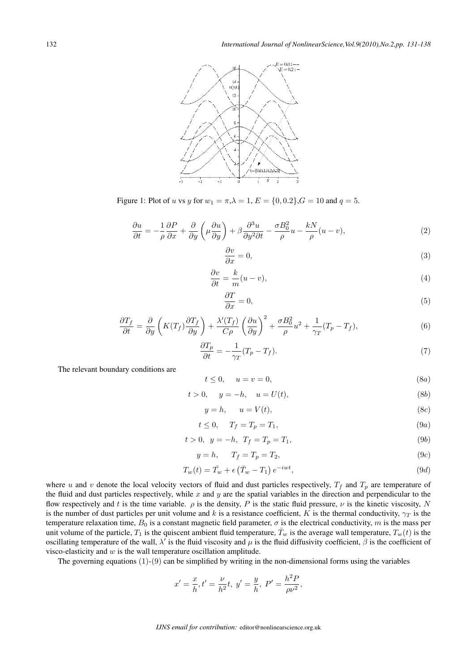

Figure 1: Plot of u vs y for  $w_1 = \pi, \lambda = 1, E = \{0, 0.2\}, G = 10$  and  $q = 5$ .

$$
\frac{\partial u}{\partial t} = -\frac{1}{\rho} \frac{\partial P}{\partial x} + \frac{\partial}{\partial y} \left( \mu \frac{\partial u}{\partial y} \right) + \beta \frac{\partial^3 u}{\partial y^2 \partial t} - \frac{\sigma B_0^2}{\rho} u - \frac{kN}{\rho} (u - v),\tag{2}
$$

$$
\frac{\partial v}{\partial x} = 0,\tag{3}
$$

$$
\frac{\partial v}{\partial t} = \frac{k}{m}(u - v),\tag{4}
$$

$$
\frac{\partial T}{\partial x} = 0,\tag{5}
$$

$$
\frac{\partial T_f}{\partial t} = \frac{\partial}{\partial y} \left( K(T_f) \frac{\partial T_f}{\partial y} \right) + \frac{\lambda'(T_f)}{C\rho} \left( \frac{\partial u}{\partial y} \right)^2 + \frac{\sigma B_0^2}{\rho} u^2 + \frac{1}{\gamma_T} (T_p - T_f),\tag{6}
$$

$$
\frac{\partial T_p}{\partial t} = -\frac{1}{\gamma_T} (T_p - T_f). \tag{7}
$$

The relevant boundary conditions are

$$
t \le 0, \quad u = v = 0,\tag{8a}
$$

$$
t > 0, \quad y = -h, \quad u = U(t), \tag{8b}
$$

$$
y = h, \qquad u = V(t), \tag{8c}
$$

$$
t \le 0, \quad T_f = T_p = T_1,\tag{9a}
$$

$$
t > 0, y = -h, T_f = T_p = T_1,
$$
\n(9b)

$$
y = h, \qquad T_f = T_p = T_2,\tag{9c}
$$

$$
T_w(t) = \bar{T_w} + \epsilon \left(\bar{T}_w - T_1\right) e^{-iwt},\tag{9d}
$$

where u and v denote the local velocity vectors of fluid and dust particles respectively,  $T_f$  and  $T_p$  are temperature of the fluid and dust particles respectively, while  $x$  and  $y$  are the spatial variables in the direction and perpendicular to the flow respectively and t is the time variable.  $\rho$  is the density, P is the static fluid pressure,  $\nu$  is the kinetic viscosity, N is the number of dust particles per unit volume and k is a resistance coefficient, K is the thermal conductivity,  $\gamma_T$  is the temperature relaxation time,  $B_0$  is a constant magnetic field parameter,  $\sigma$  is the electrical conductivity,  $m$  is the mass per unit volume of the particle,  $T_1$  is the quiscent ambient fluid temperature,  $\bar{T}_w$  is the average wall temperature,  $T_w(t)$  is the oscillating temperature of the wall,  $\lambda'$  is the fluid viscosity and  $\mu$  is the fluid diffusivity coefficient,  $\beta$  is the coefficient of visco-elasticity and  $w$  is the wall temperature oscillation amplitude.

The governing equations  $(1)-(9)$  can be simplified by writing in the non-dimensional forms using the variables

$$
x' = \frac{x}{h}, t' = \frac{\nu}{h^2}t, \ y' = \frac{y}{h}, \ P' = \frac{h^2 P}{\rho \nu^2},
$$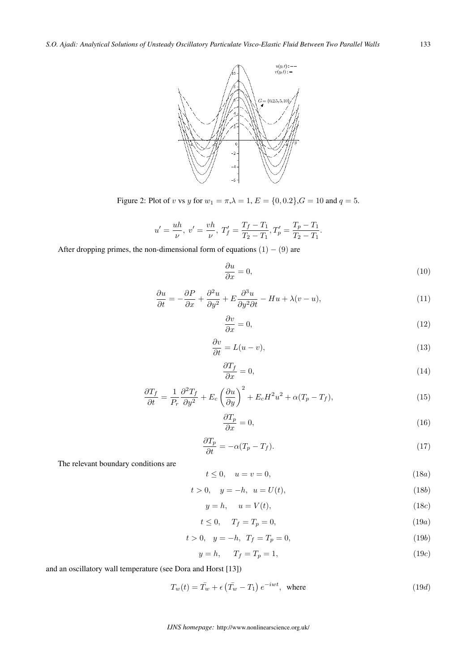

Figure 2: Plot of v vs y for  $w_1 = \pi, \lambda = 1, E = \{0, 0.2\}, G = 10$  and  $q = 5$ .

$$
u'=\frac{uh}{\nu},\;v'=\frac{vh}{\nu},\;T_f'=\frac{T_f-T_1}{T_2-T_1},T_p'=\frac{T_p-T_1}{T_2-T_1}.
$$

After dropping primes, the non-dimensional form of equations (1) *−* (9) are

$$
\frac{\partial u}{\partial x} = 0,\t\t(10)
$$

$$
\frac{\partial u}{\partial t} = -\frac{\partial P}{\partial x} + \frac{\partial^2 u}{\partial y^2} + E \frac{\partial^3 u}{\partial y^2 \partial t} - Hu + \lambda(v - u),\tag{11}
$$

$$
\frac{\partial v}{\partial x} = 0,\tag{12}
$$

$$
\frac{\partial v}{\partial t} = L(u - v),\tag{13}
$$

$$
\frac{\partial T_f}{\partial x} = 0,\t\t(14)
$$

$$
\frac{\partial T_f}{\partial t} = \frac{1}{P_r} \frac{\partial^2 T_f}{\partial y^2} + E_c \left(\frac{\partial u}{\partial y}\right)^2 + E_c H^2 u^2 + \alpha (T_p - T_f),\tag{15}
$$

$$
\frac{\partial T_p}{\partial x} = 0,\t\t(16)
$$

$$
\frac{\partial T_p}{\partial t} = -\alpha (T_p - T_f). \tag{17}
$$

The relevant boundary conditions are

$$
t \le 0, \quad u = v = 0,\tag{18a}
$$

$$
t > 0, \quad y = -h, \ u = U(t), \tag{18b}
$$

$$
y = h, \quad u = V(t), \tag{18c}
$$

$$
t \le 0, \quad T_f = T_p = 0,\tag{19a}
$$

$$
t > 0, \quad y = -h, \quad T_f = T_p = 0,\tag{19b}
$$

$$
y = h, \qquad T_f = T_p = 1,\tag{19c}
$$

and an oscillatory wall temperature (see Dora and Horst [13])

$$
T_w(t) = \bar{T_w} + \epsilon \left( \bar{T_w} - T_1 \right) e^{-iwt}, \text{ where}
$$
\n(19*d*)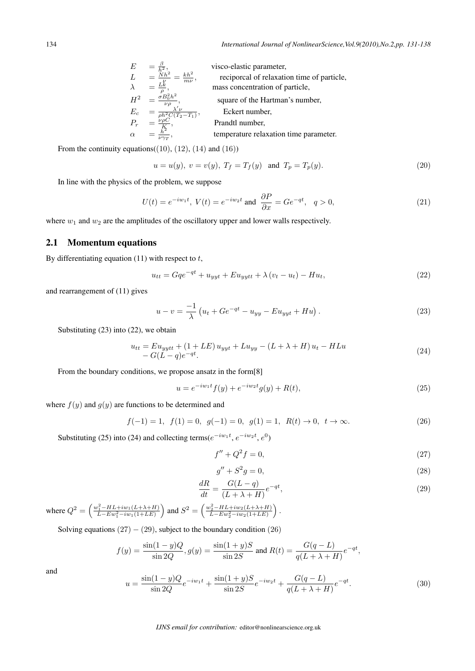$$
E = \frac{\beta}{h^2},
$$
  
\n
$$
L = \frac{Nh^2}{\mu},
$$
  
\n
$$
\lambda = \frac{LK}{\rho},
$$
  
\n
$$
H^2 = \frac{\sigma B_0^2 h^2}{\nu \rho},
$$
  
\n
$$
E_c = \frac{\sigma h^2 C (T_2 - T_1)}{\rho h^2 C (T_2 - T_1)},
$$
  
\n
$$
\alpha = \frac{h^2}{\nu \gamma \tau},
$$
  
\n
$$
E_c = \frac{\sigma B_0^2 h^2}{\rho h^2 C (T_2 - T_1)},
$$
  
\n
$$
E_c = \frac{\nu \rho C}{\rho h^2}
$$
  
\n
$$
E_c = \frac{\nu \rho C}{\rho h^2}
$$
  
\n
$$
E_c = \frac{\nu \rho C}{\rho h^2}
$$
  
\n
$$
E_c = \frac{\nu \rho C}{\rho h^2}
$$
  
\n
$$
E_c = \frac{\nu \rho C}{\rho h^2}
$$
  
\n
$$
E_c = \frac{\nu \rho C}{\rho h^2}
$$
  
\n
$$
E_c = \frac{\nu \rho C}{\rho h^2}
$$
  
\n
$$
E_c = \frac{\nu \rho C}{\rho h^2}
$$
  
\n
$$
E_c = \frac{\nu \rho C}{\rho h^2}
$$
  
\n
$$
E_c = \frac{\nu \rho C}{\rho h^2}
$$
  
\n
$$
E_c = \frac{\nu \rho C}{\rho h^2}
$$
  
\n
$$
E_c = \frac{h^2}{\rho h^2}
$$
  
\n
$$
E_c = \frac{h^2}{\rho h^2}
$$
  
\n
$$
E_c = \frac{h^2}{\rho h^2}
$$
  
\n
$$
E_c = \frac{h^2}{\rho h^2}
$$
  
\n
$$
E_c = \frac{h^2}{\rho h^2}
$$
  
\n
$$
E_c = \frac{h^2}{\rho h^2}
$$
  
\n
$$
E_c = \frac{h^2}{\rho h^2}
$$
  
\n
$$
E_c = \frac{h^2}{\rho h^2}
$$
  
\n
$$
E_c = \frac{h^2}{\rho h
$$

From the continuity equations((10), (12), (14) and (16))

$$
u = u(y), v = v(y), T_f = T_f(y) \text{ and } T_p = T_p(y).
$$
 (20)

In line with the physics of the problem, we suppose

$$
U(t) = e^{-iw_1t}, \ V(t) = e^{-iw_2t} \text{ and } \ \frac{\partial P}{\partial x} = Ge^{-qt}, \ q > 0,
$$
\n(21)

where  $w_1$  and  $w_2$  are the amplitudes of the oscillatory upper and lower walls respectively.

### 2.1 Momentum equations

By differentiating equation (11) with respect to  $t$ ,

$$
u_{tt} = Gqe^{-qt} + u_{yyt} + Eu_{yytt} + \lambda (v_t - u_t) - Hu_t,
$$
\n(22)

and rearrangement of (11) gives

$$
u - v = \frac{-1}{\lambda} \left( u_t + Ge^{-qt} - u_{yy} - Eu_{yyt} + Hu \right).
$$
 (23)

Substituting (23) into (22), we obtain

$$
u_{tt} = Eu_{yytt} + (1 + LE) u_{yyt} + Lu_{yy} - (L + \lambda + H) u_t - HLu
$$
  
-  $G(L - q)e^{-qt}$ . (24)

From the boundary conditions, we propose ansatz in the form[8]

$$
u = e^{-iw_1t} f(y) + e^{-iw_2t} g(y) + R(t),
$$
\n(25)

where  $f(y)$  and  $g(y)$  are functions to be determined and

$$
f(-1) = 1
$$
,  $f(1) = 0$ ,  $g(-1) = 0$ ,  $g(1) = 1$ ,  $R(t) \to 0$ ,  $t \to \infty$ . (26)

Substituting (25) into (24) and collecting terms( $e^{-iw_1t}$ ,  $e^{-iw_2t}$ ,  $e^{0}$ )

$$
f'' + Q^2 f = 0,\t\t(27)
$$

$$
g'' + S^2 g = 0,\tag{28}
$$

$$
\frac{dR}{dt} = \frac{G(L-q)}{(L+\lambda+H)}e^{-qt},\tag{29}
$$

where  $Q^2 = \left(\frac{w_1^2 - HL + iw_1(L + \lambda + H)}{L - Ew_1^2 - iw_1(1 + LE)}\right)$ ) and  $S^2 = \left(\frac{w_2^2 - HL + iw_2(L + \lambda + H)}{L - Ew_2^2 - iw_2(1 + LE)}\right)$ ) *.*

Solving equations (27) *−* (29), subject to the boundary condition (26)

$$
f(y) = \frac{\sin(1-y)Q}{\sin 2Q}, g(y) = \frac{\sin(1+y)S}{\sin 2S} \text{ and } R(t) = \frac{G(q-L)}{q(L+\lambda+H)}e^{-qt},
$$

and

$$
u = \frac{\sin(1-y)Q}{\sin 2Q}e^{-iw_1t} + \frac{\sin(1+y)S}{\sin 2S}e^{-iw_2t} + \frac{G(q-L)}{q(L+\lambda+H)}e^{-qt}.
$$
\n(30)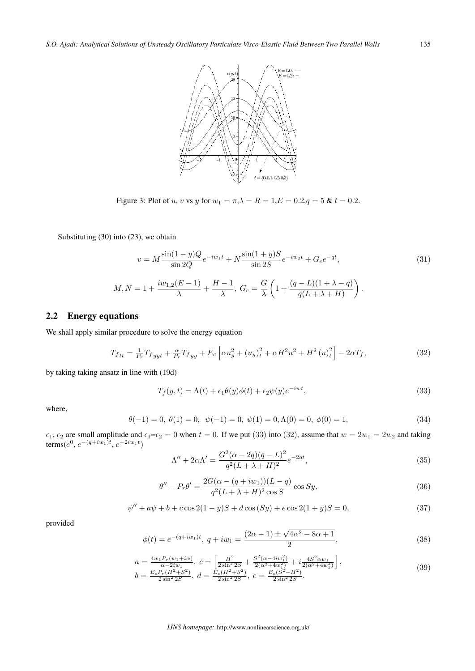

Figure 3: Plot of u, v vs y for  $w_1 = \pi, \lambda = R = 1, E = 0.2, q = 5 \& t = 0.2$ .

Substituting (30) into (23), we obtain

$$
v = M \frac{\sin(1 - y)Q}{\sin 2Q} e^{-iw_1 t} + N \frac{\sin(1 + y)S}{\sin 2S} e^{-iw_2 t} + G_c e^{-qt},
$$
(31)  

$$
M, N = 1 + \frac{iw_{1,2}(E - 1)}{\lambda} + \frac{H - 1}{\lambda}, G_c = \frac{G}{\lambda} \left( 1 + \frac{(q - L)(1 + \lambda - q)}{q(L + \lambda + H)} \right).
$$

#### 2.2 Energy equations

We shall apply similar procedure to solve the energy equation

$$
T_{f_{tt}} = \frac{1}{P_r} T_{f_{yyt}} + \frac{\alpha}{P_r} T_{f_{yy}} + E_c \left[ \alpha u_y^2 + (u_y)_t^2 + \alpha H^2 u^2 + H^2 (u)_t^2 \right] - 2\alpha T_f,
$$
\n(32)

by taking taking ansatz in line with (19d)

$$
T_f(y,t) = \Lambda(t) + \epsilon_1 \theta(y)\phi(t) + \epsilon_2 \psi(y)e^{-iwt},
$$
\n(33)

where,

$$
\theta(-1) = 0, \ \theta(1) = 0, \ \psi(-1) = 0, \ \psi(1) = 0, \Lambda(0) = 0, \ \phi(0) = 1,\tag{34}
$$

 $\epsilon_1$ ,  $\epsilon_2$  are small amplitude and  $\epsilon_1 = \epsilon_2 = 0$  when  $t = 0$ . If we put (33) into (32), assume that  $w = 2w_1 = 2w_2$  and taking terms( $e^{0}$ ,  $e^{-(q+iw_{1})t}$ ,  $e^{-2iw_{1}t}$ )

$$
\Lambda'' + 2\alpha \Lambda' = \frac{G^2(\alpha - 2q)(q - L)^2}{q^2(L + \lambda + H)^2} e^{-2qt},
$$
\n(35)

$$
\theta'' - P_r \theta' = \frac{2G(\alpha - (q + iw_1))(L - q)}{q^2(L + \lambda + H)^2 \cos S} \cos Sy,
$$
\n(36)

$$
\psi'' + a\psi + b + c\cos(2(1-y)S + d\cos(Sy)) + e\cos(2(1+y)S = 0,
$$
\n(37)

provided

$$
\phi(t) = e^{-(q+iw_1)t}, \ q + iw_1 = \frac{(2\alpha - 1) \pm \sqrt{4\alpha^2 - 8\alpha + 1}}{2}, \tag{38}
$$

$$
a = \frac{4w_1P_r(w_1+i\alpha)}{\alpha - 2iw_1}, \ c = \left[\frac{H^2}{2\sin^2 2S} + \frac{S^2(\alpha - 4iw_1^2)}{2(\alpha^2 + 4w_1^2)} + i\frac{4S^2\alpha w_1}{2(\alpha^2 + 4w_1^2)}\right],
$$
  
\n
$$
b = \frac{E_cP_r(H^2+S^2)}{2\sin^2 2S}, \ d = \frac{E_c(H^2+S^2)}{2\sin^2 2S}, \ e = \frac{E_c(S^2-H^2)}{2\sin^2 2S}.
$$
\n(39)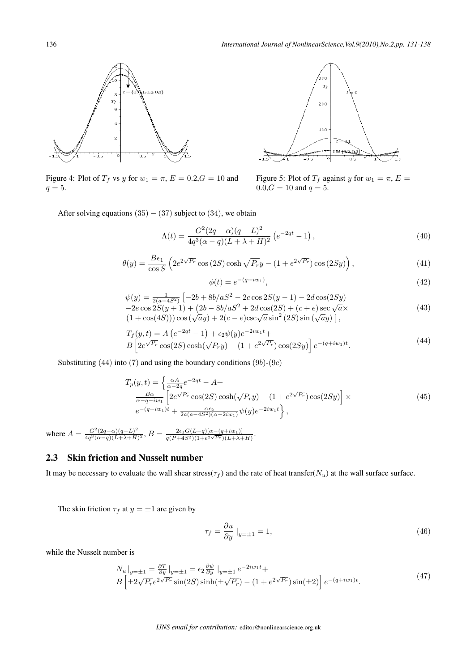

Figure 4: Plot of  $T_f$  vs  $y$  for  $w_1 = \pi$ ,  $E = 0.2$ ,  $G = 10$  and  $q = 5.$ 



Figure 5: Plot of  $T_f$  against y for  $w_1 = \pi$ ,  $E =$  $0.0$ ,  $G = 10$  and  $q = 5$ .

After solving equations (35) *−* (37) subject to (34), we obtain

$$
\Lambda(t) = \frac{G^2(2q - \alpha)(q - L)^2}{4q^3(\alpha - q)(L + \lambda + H)^2} \left(e^{-2qt} - 1\right),\tag{40}
$$

$$
\theta(y) = \frac{B\epsilon_1}{\cos S} \left( 2e^{2\sqrt{P_r}} \cos(2S) \cosh \sqrt{P_r} y - (1 + e^{2\sqrt{P_r}}) \cos(2Sy) \right),\tag{41}
$$

$$
p(t) = e^{-(q+iw_1)},
$$
\n(42)

$$
\psi(y) = \frac{1}{2(a-4S^2)} \left[ -2b + 8b/aS^2 - 2c\cos 2S(y-1) - 2d\cos(2Sy) - 2e\cos 2S(y+1) + (2b - 8b/aS^2 + 2d\cos(2S) + (c+e)\sec\sqrt{a}\times (1+\cos(4S))\cos(\sqrt{a}y) + 2(c-e)\csc\sqrt{a}\sin^2(2S)\sin(\sqrt{a}y) \right],
$$
\n(43)

$$
T_f(y,t) = A\left(e^{-2qt} - 1\right) + \epsilon_2 \psi(y)e^{-2iw_1t} + B\left[2e^{\sqrt{P_r}}\cos(2S)\cosh(\sqrt{P_r}y) - (1 + e^{2\sqrt{P_r}})\cos(2Sy)\right]e^{-(q+iw_1)t}.
$$
\n(44)

Substituting (44) into (7) and using the boundary conditions (9b)-(9c)

$$
T_p(y,t) = \left\{ \frac{\alpha A}{\alpha - 2q} e^{-2qt} - A + \frac{B\alpha}{\alpha - q - iw_1} \left[ 2e^{\sqrt{P_r}} \cos(2S) \cosh(\sqrt{P_r}y) - (1 + e^{2\sqrt{P_r}}) \cos(2Sy) \right] \times e^{-(q + iw_1)t} + \frac{\alpha \epsilon_2}{2a(a - 4S^2)(\alpha - 2iw_1)} \psi(y) e^{-2iw_1t} \right\},
$$
\n(45)

where  $A = \frac{G^2(2q - \alpha)(q - L)^2}{4q^3(\alpha - q)(L + \lambda + H)}$  $\frac{G^2(2q-\alpha)(q-L)^2}{4q^3(\alpha-q)(L+\lambda+H)^2}, B = \frac{2\epsilon_1G(L-q)[\alpha-(q+iw_1)]}{q(P+4S^2)(1+e^{2\sqrt{P_T}})(L+\lambda+H)}.$ 

### 2.3 Skin friction and Nusselt number

It may be necessary to evaluate the wall shear stress( $\tau_f$ ) and the rate of heat transfer( $N_u$ ) at the wall surface surface.

 $\phi$ 

The skin friction  $\tau_f$  at  $y = \pm 1$  are given by

$$
\tau_f = \frac{\partial u}{\partial y} \big|_{y=\pm 1} = 1,\tag{46}
$$

while the Nusselt number is

$$
N_u|_{y=\pm 1} = \frac{\partial T}{\partial y}|_{y=\pm 1} = \epsilon_2 \frac{\partial \psi}{\partial y}|_{y=\pm 1} e^{-2iw_1 t} +
$$
  
\n
$$
B\left[\pm 2\sqrt{P_r}e^{2\sqrt{P_r}}\sin(2S)\sinh(\pm\sqrt{P_r}) - (1 + e^{2\sqrt{P_r}})\sin(\pm 2)\right]e^{-(q+iw_1)t}.
$$
\n(47)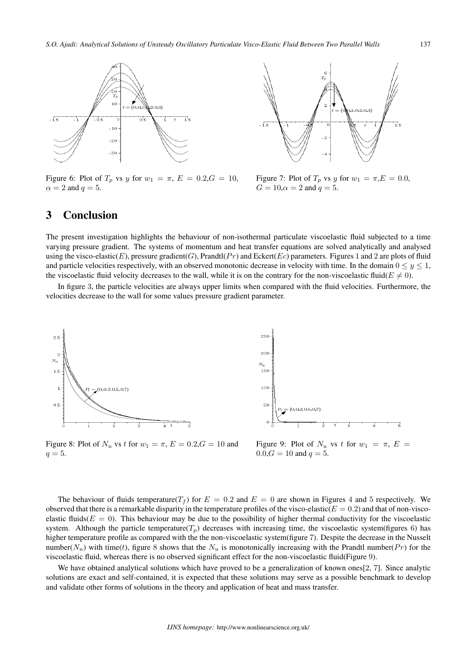

Figure 6: Plot of  $T_p$  vs  $y$  for  $w_1 = \pi$ ,  $E = 0.2, G = 10$ ,  $\alpha = 2$  and  $q = 5$ .



Figure 7: Plot of  $T_p$  vs  $y$  for  $w_1 = \pi, E = 0.0$ ,  $G = 10, \alpha = 2$  and  $q = 5$ .

## 3 Conclusion

The present investigation highlights the behaviour of non-isothermal particulate viscoelastic fluid subjected to a time varying pressure gradient. The systems of momentum and heat transfer equations are solved analytically and analysed using the visco-elastic(E), pressure gradient(G), Prandtl( $Pr$ ) and Eckert( $Ec$ ) parameters. Figures 1 and 2 are plots of fluid and particle velocities respectively, with an observed monotonic decrease in velocity with time. In the domain  $0 \le y \le 1$ , the viscoelastic fluid velocity decreases to the wall, while it is on the contrary for the non-viscoelastic fluid( $E \neq 0$ ).

In figure 3, the particle velocities are always upper limits when compared with the fluid velocities. Furthermore, the velocities decrease to the wall for some values pressure gradient parameter.



250 200  $\overline{N}_{i}$ 150 100

Figure 8: Plot of  $N_u$  vs t for  $w_1 = \pi$ ,  $E = 0.2$ ,  $G = 10$  and  $q = 5.$ 

Figure 9: Plot of  $N_u$  vs t for  $w_1 = \pi$ ,  $E =$  $0.0$ ,  $G = 10$  and  $q = 5$ .

The behaviour of fluids temperature( $T_f$ ) for  $E = 0.2$  and  $E = 0$  are shown in Figures 4 and 5 respectively. We observed that there is a remarkable disparity in the temperature profiles of the visco-elastic( $E = 0.2$ ) and that of non-viscoelastic fluids( $E = 0$ ). This behaviour may be due to the possibility of higher thermal conductivity for the viscoelastic system. Although the particle temperature( $T_p$ ) decreases with increasing time, the viscoelastic system(figures 6) has higher temperature profile as compared with the the non-viscoelastic system(figure 7). Despite the decrease in the Nusselt number( $N_u$ ) with time(t), figure 8 shows that the  $N_u$  is monotonically increasing with the Prandtl number( $Pr$ ) for the viscoelastic fluid, whereas there is no observed significant effect for the non-viscoelastic fluid(Figure 9).

We have obtained analytical solutions which have proved to be a generalization of known ones[2, 7]. Since analytic solutions are exact and self-contained, it is expected that these solutions may serve as a possible benchmark to develop and validate other forms of solutions in the theory and application of heat and mass transfer.